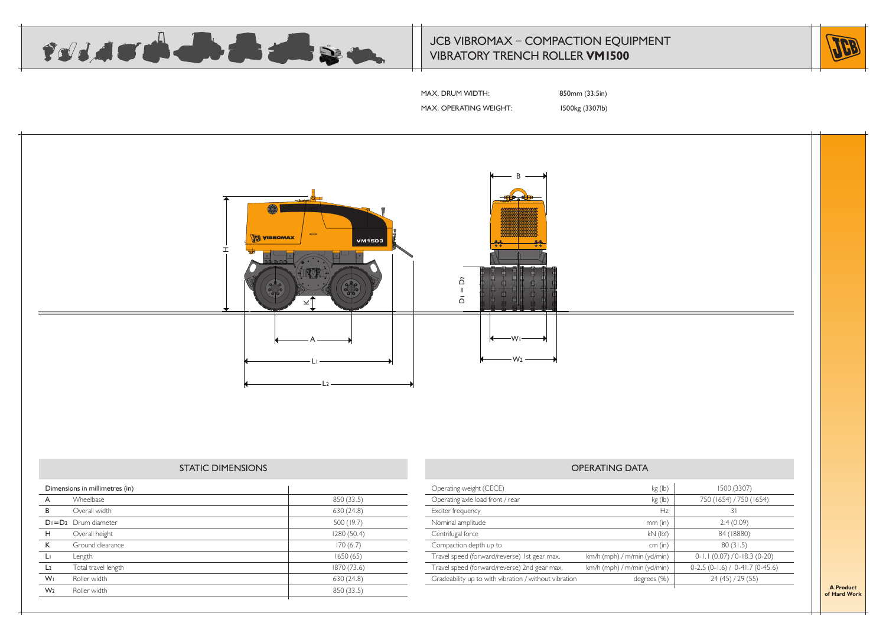

# JCB VIBROMAX – COMPACTION EQUIPMENT VIBRATORY TRENCH ROLLER **VM1500**



MAX. DRUM WIDTH: 850mm (33.5in)

MAX. OPERATING WEIGHT: 1500kg (3307lb)



### STATIC DIMENSIONS

| Dimensions in millimetres (in) |                           |             |  |
|--------------------------------|---------------------------|-------------|--|
| A                              | Wheelbase                 | 850 (33.5)  |  |
| B                              | Overall width             | 630 (24.8)  |  |
|                                | $D_1 = D_2$ Drum diameter | 500 (19.7)  |  |
| H                              | Overall height            | 1280 (50.4) |  |
| К                              | Ground clearance          | 170(6.7)    |  |
| Lг                             | Length                    | 1650(65)    |  |
| L <sub>2</sub>                 | Total travel length       | 1870 (73.6) |  |
| W <sub>1</sub>                 | Roller width              | 630 (24.8)  |  |
| W <sub>2</sub>                 | Roller width              | 850 (33.5)  |  |
|                                |                           |             |  |

| Operating weight (CECE)                               | kg (lb)                     | 1500 (3307)                      |
|-------------------------------------------------------|-----------------------------|----------------------------------|
| Operating axle load front / rear                      | kg (lb)                     | 750 (1654) / 750 (1654)          |
| Exciter frequency                                     | Hz                          | 31                               |
| Nominal amplitude                                     | $mm$ (in)                   | 2.4(0.09)                        |
| Centrifugal force                                     | $kN$ (lbf)                  | 84 (18880)                       |
| Compaction depth up to                                | cm (in)                     | 80(31.5)                         |
| Travel speed (forward/reverse) 1st gear max.          | km/h (mph) / m/min (yd/min) | $0 - 1.1(0.07)/0 - 18.3(0 - 20)$ |
| Travel speed (forward/reverse) 2nd gear max.          | km/h (mph) / m/min (yd/min) | $0-2.5(0-1.6) / 0-41.7(0-45.6)$  |
| Gradeability up to with vibration / without vibration | degrees (%)                 | 24(45)/29(55)                    |
|                                                       |                             |                                  |

**A Product of Hard Work**